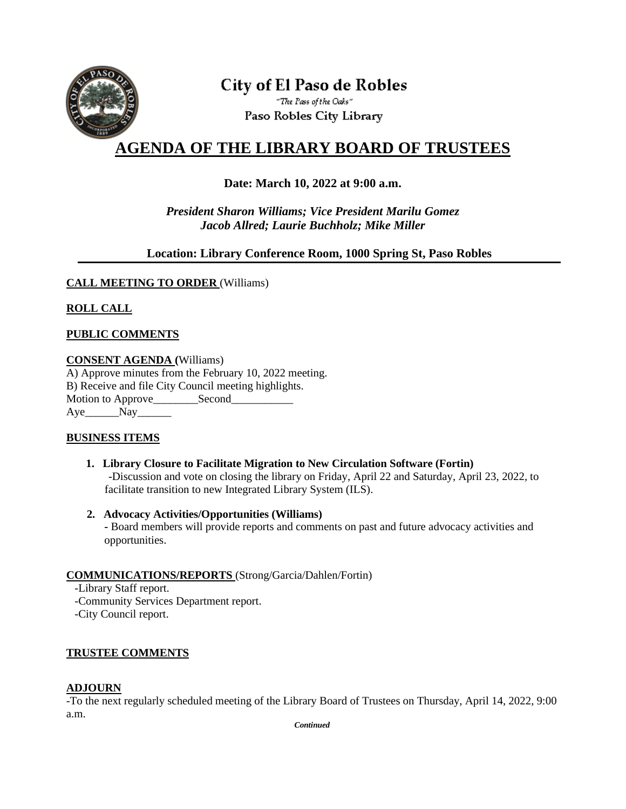

# **City of El Paso de Robles**

"The Pass of the Oaks" Paso Robles City Library

# **AGENDA OF THE LIBRARY BOARD OF TRUSTEES**

## **Date: March 10, 2022 at 9:00 a.m.**

*President Sharon Williams; Vice President Marilu Gomez Jacob Allred; Laurie Buchholz; Mike Miller*

#### **Location: Library Conference Room, 1000 Spring St, Paso Robles**

#### **CALL MEETING TO ORDER** (Williams)

## **ROLL CALL**

#### **PUBLIC COMMENTS**

#### **CONSENT AGENDA (**Williams)

A) Approve minutes from the February 10, 2022 meeting. B) Receive and file City Council meeting highlights. Motion to Approve\_\_\_\_\_\_\_\_Second\_\_\_\_\_\_\_\_\_\_\_ Aye Nay

#### **BUSINESS ITEMS**

- **1. Library Closure to Facilitate Migration to New Circulation Software (Fortin)** -Discussion and vote on closing the library on Friday, April 22 and Saturday, April 23, 2022, to facilitate transition to new Integrated Library System (ILS).
- **2. Advocacy Activities/Opportunities (Williams) -** Board members will provide reports and comments on past and future advocacy activities and opportunities.

#### **COMMUNICATIONS/REPORTS** (Strong/Garcia/Dahlen/Fortin)

-Library Staff report.

-Community Services Department report.

-City Council report.

#### **TRUSTEE COMMENTS**

#### **ADJOURN**

-To the next regularly scheduled meeting of the Library Board of Trustees on Thursday, April 14, 2022, 9:00 a.m.

*Continued*